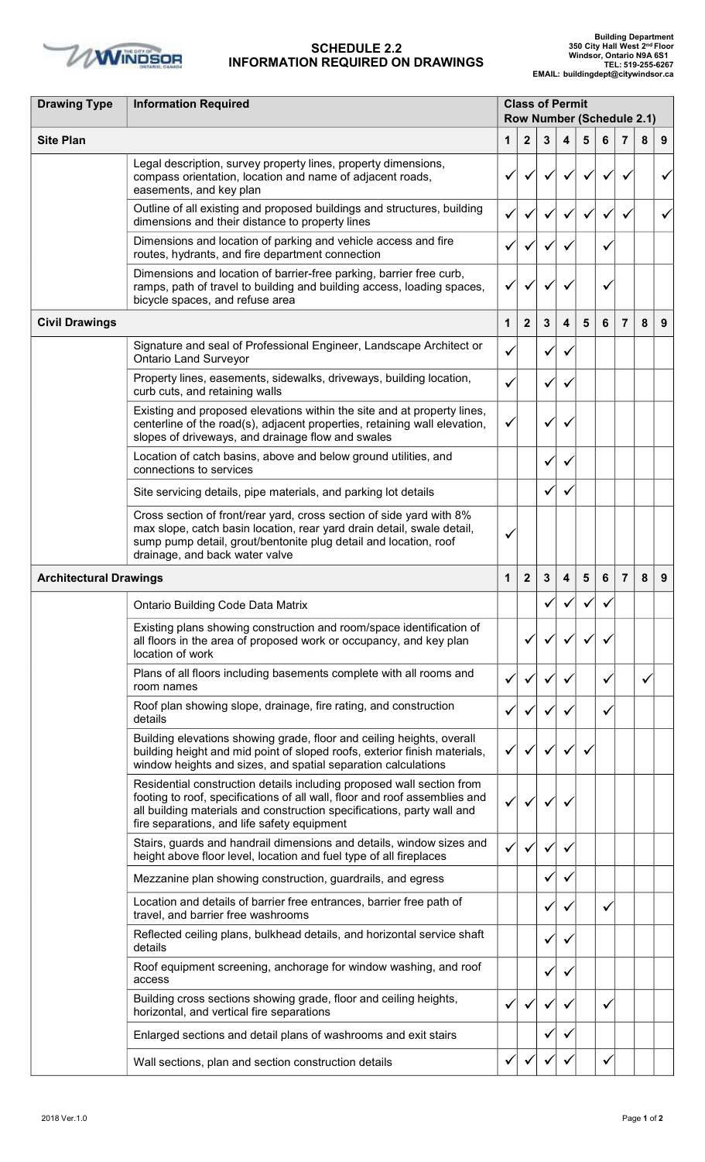

## **SCHEDULE 2.2 INFORMATION REQUIRED ON DRAWINGS**

| <b>Drawing Type</b>           | <b>Information Required</b>                                                                                                                                                                                                                                                  | <b>Class of Permit</b><br><b>Row Number (Schedule 2.1)</b> |                  |              |                         |                |   |                |   |   |
|-------------------------------|------------------------------------------------------------------------------------------------------------------------------------------------------------------------------------------------------------------------------------------------------------------------------|------------------------------------------------------------|------------------|--------------|-------------------------|----------------|---|----------------|---|---|
| <b>Site Plan</b>              |                                                                                                                                                                                                                                                                              | 1                                                          | $\boldsymbol{2}$ | 3            | $\overline{\mathbf{4}}$ | 5              | 6 | $\overline{7}$ | 8 | 9 |
|                               | Legal description, survey property lines, property dimensions,<br>compass orientation, location and name of adjacent roads,<br>easements, and key plan                                                                                                                       |                                                            |                  |              |                         |                |   |                |   |   |
|                               | Outline of all existing and proposed buildings and structures, building<br>dimensions and their distance to property lines                                                                                                                                                   |                                                            |                  |              |                         |                |   |                |   |   |
|                               | Dimensions and location of parking and vehicle access and fire<br>routes, hydrants, and fire department connection                                                                                                                                                           | ✓                                                          |                  | ✓            | $\checkmark$            |                |   |                |   |   |
|                               | Dimensions and location of barrier-free parking, barrier free curb,<br>ramps, path of travel to building and building access, loading spaces,<br>bicycle spaces, and refuse area                                                                                             | $\checkmark$                                               |                  |              |                         |                |   |                |   |   |
| <b>Civil Drawings</b>         |                                                                                                                                                                                                                                                                              | 1                                                          | $\mathbf{2}$     | 3            | $\overline{\mathbf{4}}$ | 5              | 6 | $\overline{7}$ | 8 | 9 |
|                               | Signature and seal of Professional Engineer, Landscape Architect or<br><b>Ontario Land Surveyor</b>                                                                                                                                                                          | ✓                                                          |                  |              |                         |                |   |                |   |   |
|                               | Property lines, easements, sidewalks, driveways, building location,<br>curb cuts, and retaining walls                                                                                                                                                                        | ✓                                                          |                  |              |                         |                |   |                |   |   |
|                               | Existing and proposed elevations within the site and at property lines,<br>centerline of the road(s), adjacent properties, retaining wall elevation,<br>slopes of driveways, and drainage flow and swales                                                                    | $\checkmark$                                               |                  | v            |                         |                |   |                |   |   |
|                               | Location of catch basins, above and below ground utilities, and<br>connections to services                                                                                                                                                                                   |                                                            |                  |              |                         |                |   |                |   |   |
|                               | Site servicing details, pipe materials, and parking lot details                                                                                                                                                                                                              |                                                            |                  |              |                         |                |   |                |   |   |
|                               | Cross section of front/rear yard, cross section of side yard with 8%<br>max slope, catch basin location, rear yard drain detail, swale detail,<br>sump pump detail, grout/bentonite plug detail and location, roof<br>drainage, and back water valve                         | v                                                          |                  |              |                         |                |   |                |   |   |
| <b>Architectural Drawings</b> |                                                                                                                                                                                                                                                                              | 1                                                          | $\mathbf{2}$     | $\mathbf{3}$ | $\overline{\mathbf{4}}$ | $5\phantom{1}$ | 6 | $\overline{7}$ | 8 | 9 |
|                               | <b>Ontario Building Code Data Matrix</b>                                                                                                                                                                                                                                     |                                                            |                  |              |                         |                |   |                |   |   |
|                               | Existing plans showing construction and room/space identification of<br>all floors in the area of proposed work or occupancy, and key plan<br>location of work                                                                                                               |                                                            |                  |              |                         |                |   |                |   |   |
|                               | Plans of all floors including basements complete with all rooms and<br>room names                                                                                                                                                                                            |                                                            |                  |              |                         |                |   |                |   |   |
|                               | Roof plan showing slope, drainage, fire rating, and construction<br>details                                                                                                                                                                                                  |                                                            |                  |              |                         |                |   |                |   |   |
|                               | Building elevations showing grade, floor and ceiling heights, overall<br>building height and mid point of sloped roofs, exterior finish materials,<br>window heights and sizes, and spatial separation calculations                                                          | v                                                          |                  |              |                         |                |   |                |   |   |
|                               | Residential construction details including proposed wall section from<br>footing to roof, specifications of all wall, floor and roof assemblies and<br>all building materials and construction specifications, party wall and<br>fire separations, and life safety equipment |                                                            |                  |              |                         |                |   |                |   |   |
|                               | Stairs, guards and handrail dimensions and details, window sizes and<br>height above floor level, location and fuel type of all fireplaces                                                                                                                                   | ✓                                                          |                  | ✓            | $\checkmark$            |                |   |                |   |   |
|                               | Mezzanine plan showing construction, guardrails, and egress                                                                                                                                                                                                                  |                                                            |                  | ✔            | $\checkmark$            |                |   |                |   |   |
|                               | Location and details of barrier free entrances, barrier free path of<br>travel, and barrier free washrooms                                                                                                                                                                   |                                                            |                  | ✔            | ✓                       |                |   |                |   |   |
|                               | Reflected ceiling plans, bulkhead details, and horizontal service shaft<br>details                                                                                                                                                                                           |                                                            |                  |              |                         |                |   |                |   |   |
|                               | Roof equipment screening, anchorage for window washing, and roof<br>access                                                                                                                                                                                                   |                                                            |                  |              | $\checkmark$            |                |   |                |   |   |
|                               | Building cross sections showing grade, floor and ceiling heights,<br>horizontal, and vertical fire separations                                                                                                                                                               | ✓                                                          |                  |              | ✔                       |                |   |                |   |   |
|                               | Enlarged sections and detail plans of washrooms and exit stairs                                                                                                                                                                                                              |                                                            |                  |              |                         |                |   |                |   |   |
|                               | Wall sections, plan and section construction details                                                                                                                                                                                                                         |                                                            |                  |              |                         |                |   |                |   |   |